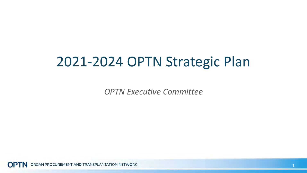## 2021-2024 OPTN Strategic Plan

*OPTN Executive Committee*

ORGAN PROCUREMENT AND TRANSPLANTATION NETWORK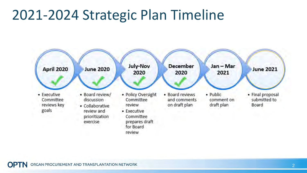## 2021-2024 Strategic Plan Timeline

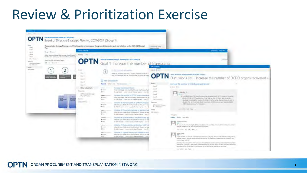## Review & Prioritization Exercise



ORGAN PROCUREMENT AND TRANSPLANTATION NETWORK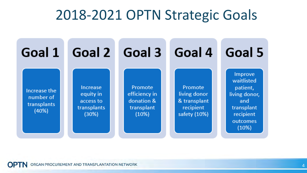#### 2018-2021 OPTN Strategic Goals

| Goal 1                                            |                                                                   | Goal 2 Goal 3                                                 | <b>Goal 4</b>                                                        | Goal 5                                                                                                           |
|---------------------------------------------------|-------------------------------------------------------------------|---------------------------------------------------------------|----------------------------------------------------------------------|------------------------------------------------------------------------------------------------------------------|
| Increase the<br>number of<br>transplants<br>(40%) | <b>Increase</b><br>equity in<br>access to<br>transplants<br>(30%) | Promote<br>efficiency in<br>donation &<br>transplant<br>(10%) | Promote<br>living donor<br>& transplant<br>recipient<br>safety (10%) | <b>Improve</b><br>waitlisted<br>patient,<br>living donor,<br>and<br>transplant<br>recipient<br>outcomes<br>(10%) |

**OPTN** ORGAN PROCUREMENT AND TRANSPLANTATION NETWORK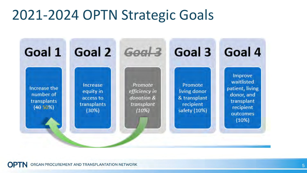## 2021-2024 OPTN Strategic Goals

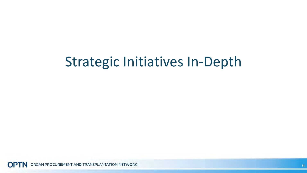# Strategic Initiatives In-Depth

ORGAN PROCUREMENT AND TRANSPLANTATION NETWORK **OPTN**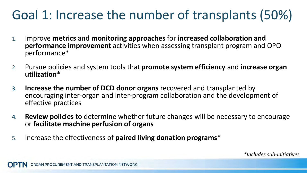# Goal 1: Increase the number of transplants (50%)

- 1. Improve **metrics** and **monitoring approaches** for **increased collaboration and performance improvement** activities when assessing transplant program and OPO performance\*
- 2. Pursue policies and system tools that **promote system efficiency** and **increase organ utilization**\*
- **3. Increase the number of DCD donor organs** recovered and transplanted by encouraging inter-organ and inter-program collaboration and the development of effective practices
- **4. Review policies** to determine whether future changes will be necessary to encourage or **facilitate machine perfusion of organs**
- 5. Increase the effectiveness of **paired living donation programs**\*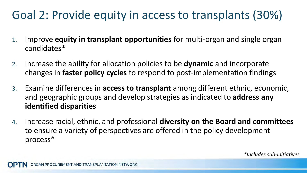#### Goal 2: Provide equity in access to transplants (30%)

- 1. Improve **equity in transplant opportunities** for multi-organ and single organ candidates\*
- 2. Increase the ability for allocation policies to be **dynamic** and incorporate changes in **faster policy cycles** to respond to post-implementation findings
- 3. Examine differences in **access to transplant** among different ethnic, economic, and geographic groups and develop strategies as indicated to **address any identified disparities**
- 4. Increase racial, ethnic, and professional **diversity on the Board and committees**  to ensure a variety of perspectives are offered in the policy development process\*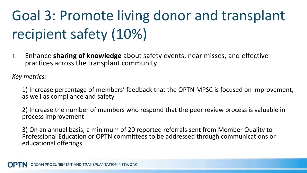# Goal 3: Promote living donor and transplant recipient safety (10%)

1. Enhance **sharing of knowledge** about safety events, near misses, and effective practices across the transplant community

*Key metrics:* 

1) Increase percentage of members' feedback that the OPTN MPSC is focused on improvement, as well as compliance and safety

2) Increase the number of members who respond that the peer review process is valuable in process improvement

3) On an annual basis, a minimum of 20 reported referrals sent from Member Quality to Professional Education or OPTN committees to be addressed through communications or educational offerings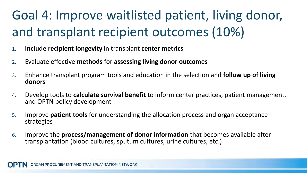# Goal 4: Improve waitlisted patient, living donor, and transplant recipient outcomes (10%)

- **1. Include recipient longevity** in transplant **center metrics**
- 2. Evaluate effective **methods** for **assessing living donor outcomes**
- 3. Enhance transplant program tools and education in the selection and **follow up of living donors**
- 4. Develop tools to **calculate survival benefit** to inform center practices, patient management, and OPTN policy development
- 5. Improve **patient tools** for understanding the allocation process and organ acceptance strategies
- 6. Improve the **process/management of donor information** that becomes available after transplantation (blood cultures, sputum cultures, urine cultures, etc.)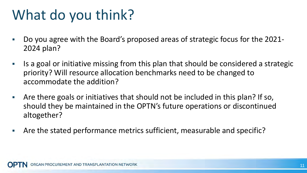# What do you think?

- Do you agree with the Board's proposed areas of strategic focus for the 2021- 2024 plan?
- Is a goal or initiative missing from this plan that should be considered a strategic priority? Will resource allocation benchmarks need to be changed to accommodate the addition?
- Are there goals or initiatives that should not be included in this plan? If so, should they be maintained in the OPTN's future operations or discontinued altogether?
- Are the stated performance metrics sufficient, measurable and specific?